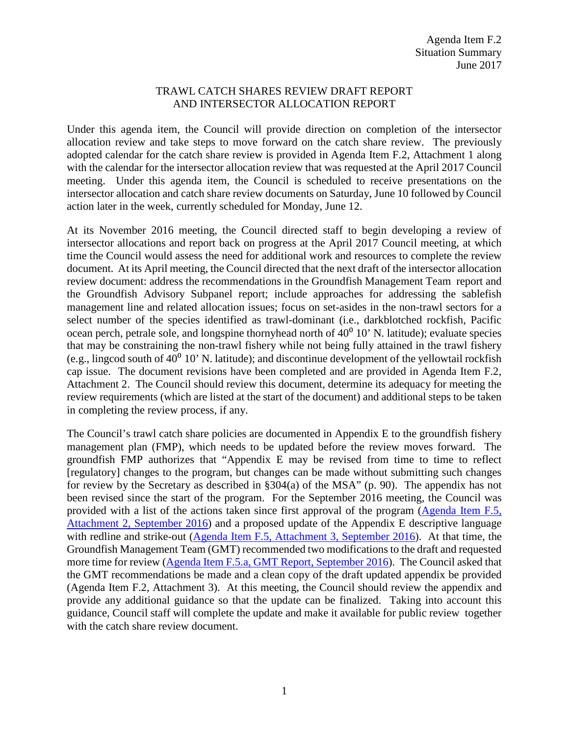## TRAWL CATCH SHARES REVIEW DRAFT REPORT AND INTERSECTOR ALLOCATION REPORT

Under this agenda item, the Council will provide direction on completion of the intersector allocation review and take steps to move forward on the catch share review. The previously adopted calendar for the catch share review is provided in Agenda Item F.2, Attachment 1 along with the calendar for the intersector allocation review that was requested at the April 2017 Council meeting. Under this agenda item, the Council is scheduled to receive presentations on the intersector allocation and catch share review documents on Saturday, June 10 followed by Council action later in the week, currently scheduled for Monday, June 12.

At its November 2016 meeting, the Council directed staff to begin developing a review of intersector allocations and report back on progress at the April 2017 Council meeting, at which time the Council would assess the need for additional work and resources to complete the review document. At its April meeting, the Council directed that the next draft of the intersector allocation review document: address the recommendations in the Groundfish Management Team report and the Groundfish Advisory Subpanel report; include approaches for addressing the sablefish management line and related allocation issues; focus on set-asides in the non-trawl sectors for a select number of the species identified as trawl-dominant (i.e., darkblotched rockfish, Pacific ocean perch, petrale sole, and longspine thornyhead north of  $40^0$  10' N. latitude); evaluate species that may be constraining the non-trawl fishery while not being fully attained in the trawl fishery (e.g., lingcod south of  $40^{\circ}$  10' N. latitude); and discontinue development of the vellowtail rockfish cap issue. The document revisions have been completed and are provided in Agenda Item F.2, Attachment 2. The Council should review this document, determine its adequacy for meeting the review requirements (which are listed at the start of the document) and additional steps to be taken in completing the review process, if any.

The Council's trawl catch share policies are documented in Appendix E to the groundfish fishery management plan (FMP), which needs to be updated before the review moves forward. The groundfish FMP authorizes that "Appendix E may be revised from time to time to reflect [regulatory] changes to the program, but changes can be made without submitting such changes for review by the Secretary as described in §304(a) of the MSA" (p. 90). The appendix has not been revised since the start of the program. For the September 2016 meeting, the Council was provided with a list of the actions taken since first approval of the program [\(Agenda Item F.5,](http://www.pcouncil.org/wp-content/uploads/2016/08/F5_Att2_ApdxE-_GuidanceActions_SEPT2016BB.pdf)  [Attachment 2,](http://www.pcouncil.org/wp-content/uploads/2016/08/F5_Att2_ApdxE-_GuidanceActions_SEPT2016BB.pdf) September 2016) and a proposed update of the Appendix E descriptive language with redline and strike-out [\(Agenda Item F.5, Attachment 3,](http://www.pcouncil.org/wp-content/uploads/2016/08/F5_Att3_GF_FMP_ApdxE_RevThruAug162016_Draft_SEPT2016BB.pdf) September 2016). At that time, the Groundfish Management Team (GMT) recommended two modifications to the draft and requested more time for review [\(Agenda Item F.5.a, GMT Report,](http://www.pcouncil.org/wp-content/uploads/2016/09/F5a_Sup_GMT_Rpt_SEPT2016BB.pdf) September 2016). The Council asked that the GMT recommendations be made and a clean copy of the draft updated appendix be provided (Agenda Item F.2, Attachment 3). At this meeting, the Council should review the appendix and provide any additional guidance so that the update can be finalized. Taking into account this guidance, Council staff will complete the update and make it available for public review together with the catch share review document.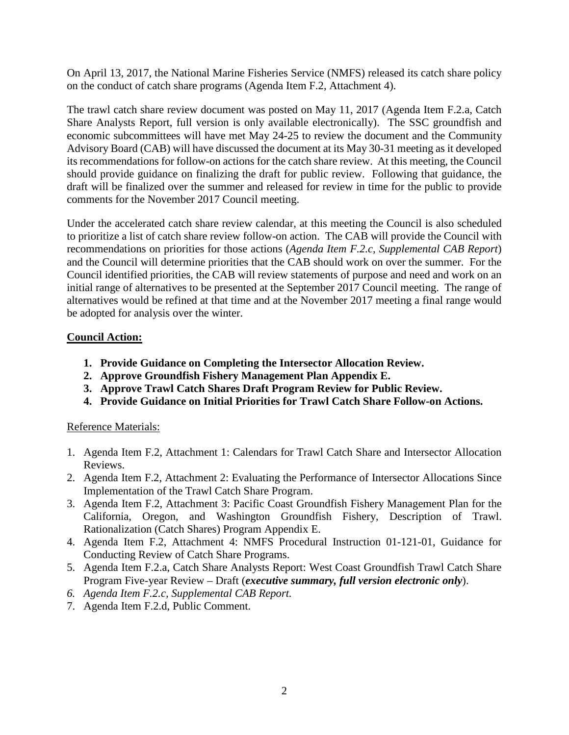On April 13, 2017, the National Marine Fisheries Service (NMFS) released its catch share policy on the conduct of catch share programs (Agenda Item F.2, Attachment 4).

The trawl catch share review document was posted on May 11, 2017 (Agenda Item F.2.a, Catch Share Analysts Report, full version is only available electronically). The SSC groundfish and economic subcommittees will have met May 24-25 to review the document and the Community Advisory Board (CAB) will have discussed the document at its May 30-31 meeting as it developed its recommendations for follow-on actions for the catch share review. At this meeting, the Council should provide guidance on finalizing the draft for public review. Following that guidance, the draft will be finalized over the summer and released for review in time for the public to provide comments for the November 2017 Council meeting.

Under the accelerated catch share review calendar, at this meeting the Council is also scheduled to prioritize a list of catch share review follow-on action. The CAB will provide the Council with recommendations on priorities for those actions (*Agenda Item F.2.c, Supplemental CAB Report*) and the Council will determine priorities that the CAB should work on over the summer. For the Council identified priorities, the CAB will review statements of purpose and need and work on an initial range of alternatives to be presented at the September 2017 Council meeting. The range of alternatives would be refined at that time and at the November 2017 meeting a final range would be adopted for analysis over the winter.

## **Council Action:**

- **1. Provide Guidance on Completing the Intersector Allocation Review.**
- **2. Approve Groundfish Fishery Management Plan Appendix E.**
- **3. Approve Trawl Catch Shares Draft Program Review for Public Review.**
- **4. Provide Guidance on Initial Priorities for Trawl Catch Share Follow-on Actions.**

## Reference Materials:

- 1. Agenda Item F.2, Attachment 1: Calendars for Trawl Catch Share and Intersector Allocation Reviews.
- 2. Agenda Item F.2, Attachment 2: Evaluating the Performance of Intersector Allocations Since Implementation of the Trawl Catch Share Program.
- 3. Agenda Item F.2, Attachment 3: Pacific Coast Groundfish Fishery Management Plan for the California, Oregon, and Washington Groundfish Fishery, Description of Trawl. Rationalization (Catch Shares) Program Appendix E.
- 4. Agenda Item F.2, Attachment 4: NMFS Procedural Instruction 01-121-01, Guidance for Conducting Review of Catch Share Programs.
- 5. Agenda Item F.2.a, Catch Share Analysts Report: West Coast Groundfish Trawl Catch Share Program Five-year Review – Draft (*executive summary, full version electronic only*).
- *6. Agenda Item F.2.c, Supplemental CAB Report.*
- 7. Agenda Item F.2.d, Public Comment.